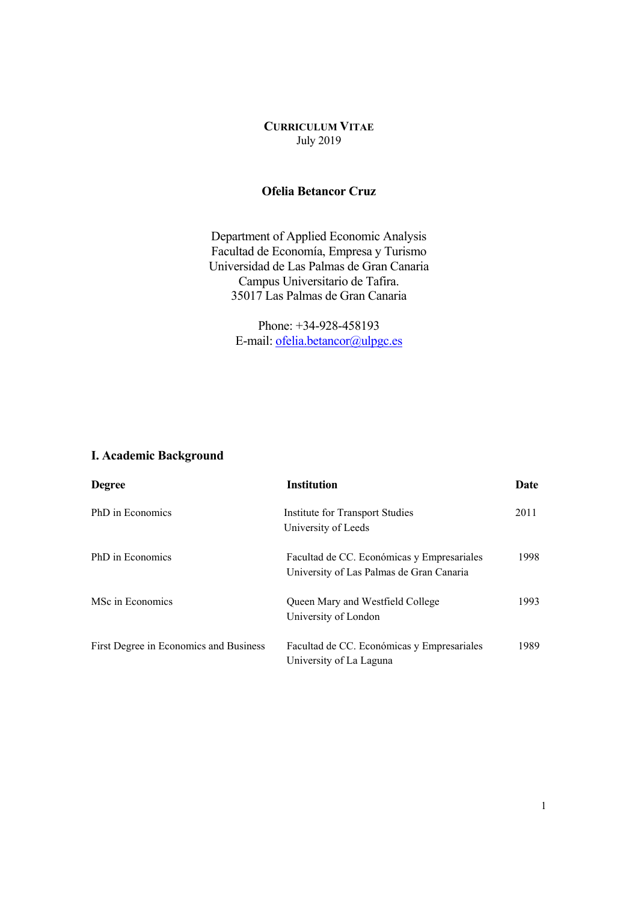## **CURRICULUM VITAE** July 2019

### **Ofelia Betancor Cruz**

Department of Applied Economic Analysis Facultad de Economía, Empresa y Turismo Universidad de Las Palmas de Gran Canaria Campus Universitario de Tafira. 35017 Las Palmas de Gran Canaria

> Phone: +34-928-458193 E-mail: ofelia.betancor@ulpgc.es

## **I. Academic Background**

| <b>Degree</b>                          | <b>Institution</b>                                                                     | Date |
|----------------------------------------|----------------------------------------------------------------------------------------|------|
| PhD in Economics                       | Institute for Transport Studies<br>University of Leeds                                 | 2011 |
| PhD in Economics                       | Facultad de CC. Económicas y Empresariales<br>University of Las Palmas de Gran Canaria | 1998 |
| MSc in Economics                       | Queen Mary and Westfield College<br>University of London                               | 1993 |
| First Degree in Economics and Business | Facultad de CC. Económicas y Empresariales<br>University of La Laguna                  | 1989 |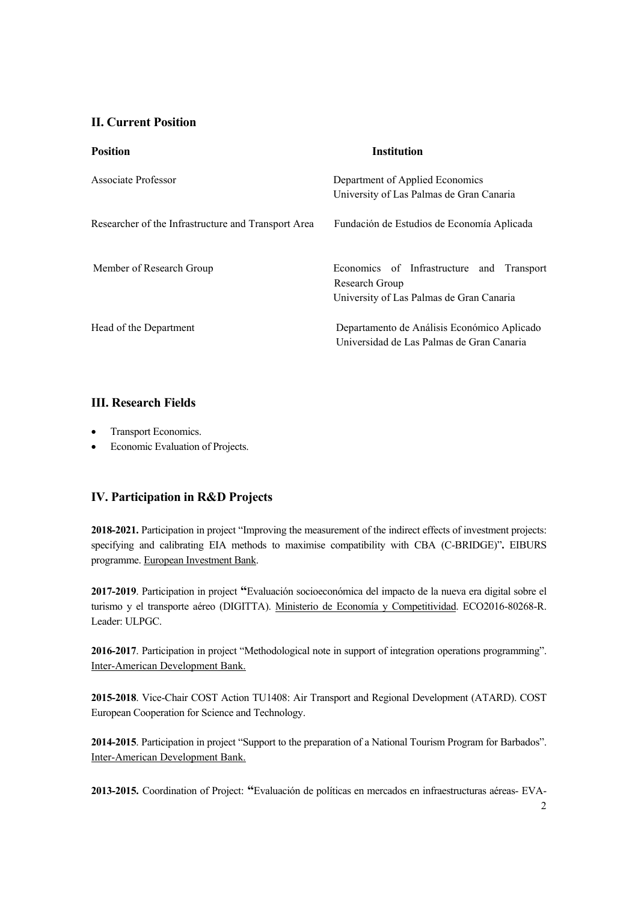## **II. Current Position**

| <b>Position</b>                                     | <b>Institution</b>                                                                                         |
|-----------------------------------------------------|------------------------------------------------------------------------------------------------------------|
| Associate Professor                                 | Department of Applied Economics<br>University of Las Palmas de Gran Canaria                                |
| Researcher of the Infrastructure and Transport Area | Fundación de Estudios de Economía Aplicada                                                                 |
| Member of Research Group                            | Economics of Infrastructure and<br>Transport<br>Research Group<br>University of Las Palmas de Gran Canaria |
| Head of the Department                              | Departamento de Análisis Económico Aplicado<br>Universidad de Las Palmas de Gran Canaria                   |

## **III. Research Fields**

- Transport Economics.
- Economic Evaluation of Projects.

## **IV. Participation in R&D Projects**

**2018-2021.** Participation in project "Improving the measurement of the indirect effects of investment projects: specifying and calibrating EIA methods to maximise compatibility with CBA (C-BRIDGE)"**.** EIBURS programme. European Investment Bank.

**2017-2019**. Participation in project **"**Evaluación socioeconómica del impacto de la nueva era digital sobre el turismo y el transporte aéreo (DIGITTA). Ministerio de Economía y Competitividad. ECO2016-80268-R. Leader: ULPGC.

**2016-2017**. Participation in project "Methodological note in support of integration operations programming". Inter-American Development Bank.

**2015-2018**. Vice-Chair COST Action TU1408: Air Transport and Regional Development (ATARD). COST European Cooperation for Science and Technology.

**2014-2015**. Participation in project "Support to the preparation of a National Tourism Program for Barbados". Inter-American Development Bank.

**2013-2015.** Coordination of Project: **"**Evaluación de políticas en mercados en infraestructuras aéreas- EVA-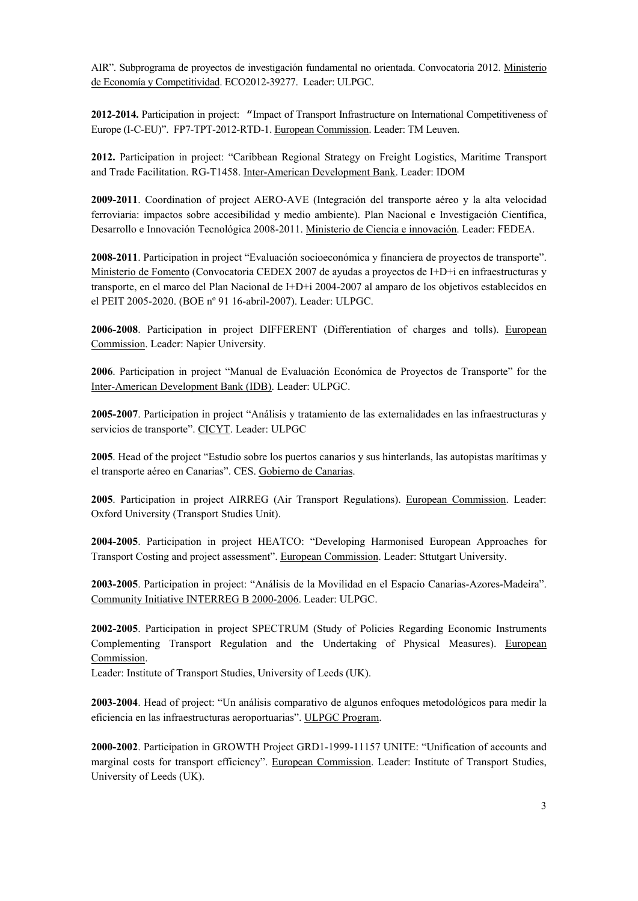AIR". Subprograma de proyectos de investigación fundamental no orientada. Convocatoria 2012. Ministerio de Economía y Competitividad. ECO2012-39277. Leader: ULPGC.

**2012-2014.** Participation in project: "Impact of Transport Infrastructure on International Competitiveness of Europe (I-C-EU)". FP7-TPT-2012-RTD-1. European Commission. Leader: TM Leuven.

**2012.** Participation in project: "Caribbean Regional Strategy on Freight Logistics, Maritime Transport and Trade Facilitation. RG-T1458. Inter-American Development Bank. Leader: IDOM

**2009-2011**. Coordination of project AERO-AVE (Integración del transporte aéreo y la alta velocidad ferroviaria: impactos sobre accesibilidad y medio ambiente). Plan Nacional e Investigación Científica, Desarrollo e Innovación Tecnológica 2008-2011. Ministerio de Ciencia e innovación. Leader: FEDEA.

**2008-2011**. Participation in project "Evaluación socioeconómica y financiera de proyectos de transporte". Ministerio de Fomento (Convocatoria CEDEX 2007 de ayudas a proyectos de I+D+i en infraestructuras y transporte, en el marco del Plan Nacional de I+D+i 2004-2007 al amparo de los objetivos establecidos en el PEIT 2005-2020. (BOE nº 91 16-abril-2007). Leader: ULPGC.

**2006-2008**. Participation in project DIFFERENT (Differentiation of charges and tolls). European Commission. Leader: Napier University.

**2006**. Participation in project "Manual de Evaluación Económica de Proyectos de Transporte" for the Inter-American Development Bank (IDB). Leader: ULPGC.

**2005-2007**. Participation in project "Análisis y tratamiento de las externalidades en las infraestructuras y servicios de transporte". CICYT. Leader: ULPGC

**2005**. Head of the project "Estudio sobre los puertos canarios y sus hinterlands, las autopistas marítimas y el transporte aéreo en Canarias". CES. Gobierno de Canarias.

**2005**. Participation in project AIRREG (Air Transport Regulations). European Commission. Leader: Oxford University (Transport Studies Unit).

**2004-2005**. Participation in project HEATCO: "Developing Harmonised European Approaches for Transport Costing and project assessment". European Commission. Leader: Sttutgart University.

**2003-2005**. Participation in project: "Análisis de la Movilidad en el Espacio Canarias-Azores-Madeira". Community Initiative INTERREG B 2000-2006. Leader: ULPGC.

**2002-2005**. Participation in project SPECTRUM (Study of Policies Regarding Economic Instruments Complementing Transport Regulation and the Undertaking of Physical Measures). European Commission.

Leader: Institute of Transport Studies, University of Leeds (UK).

**2003-2004**. Head of project: "Un análisis comparativo de algunos enfoques metodológicos para medir la eficiencia en las infraestructuras aeroportuarias". ULPGC Program.

**2000-2002**. Participation in GROWTH Project GRD1-1999-11157 UNITE: "Unification of accounts and marginal costs for transport efficiency". European Commission. Leader: Institute of Transport Studies, University of Leeds (UK).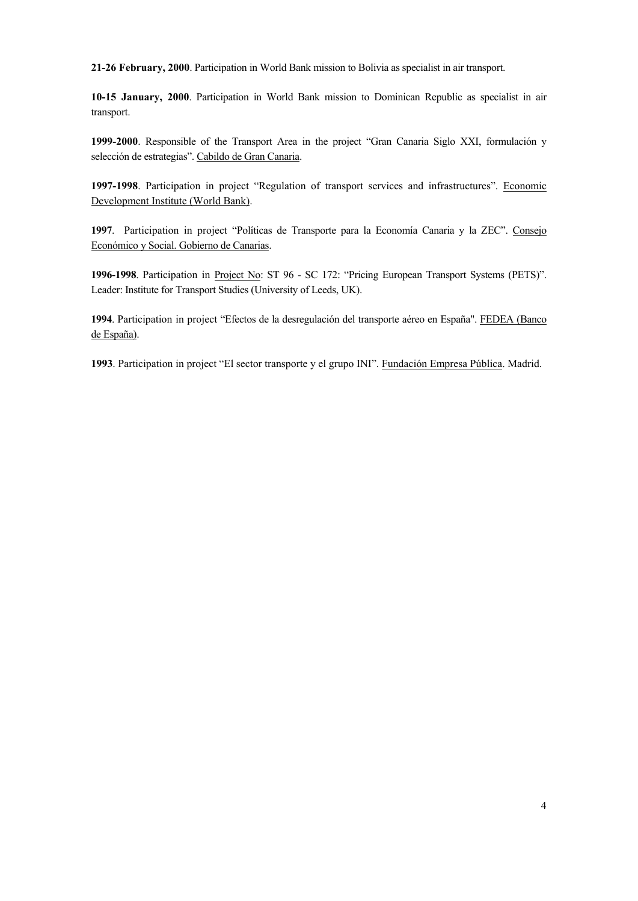**21-26 February, 2000**. Participation in World Bank mission to Bolivia as specialist in air transport.

**10-15 January, 2000**. Participation in World Bank mission to Dominican Republic as specialist in air transport.

**1999-2000**. Responsible of the Transport Area in the project "Gran Canaria Siglo XXI, formulación y selección de estrategias". Cabildo de Gran Canaria.

**1997-1998**. Participation in project "Regulation of transport services and infrastructures". Economic Development Institute (World Bank).

**1997**. Participation in project "Políticas de Transporte para la Economía Canaria y la ZEC". Consejo Económico y Social. Gobierno de Canarias.

**1996-1998**. Participation in Project No: ST 96 - SC 172: "Pricing European Transport Systems (PETS)". Leader: Institute for Transport Studies (University of Leeds, UK).

**1994**. Participation in project "Efectos de la desregulación del transporte aéreo en España". FEDEA (Banco de España).

**1993**. Participation in project "El sector transporte y el grupo INI". Fundación Empresa Pública. Madrid.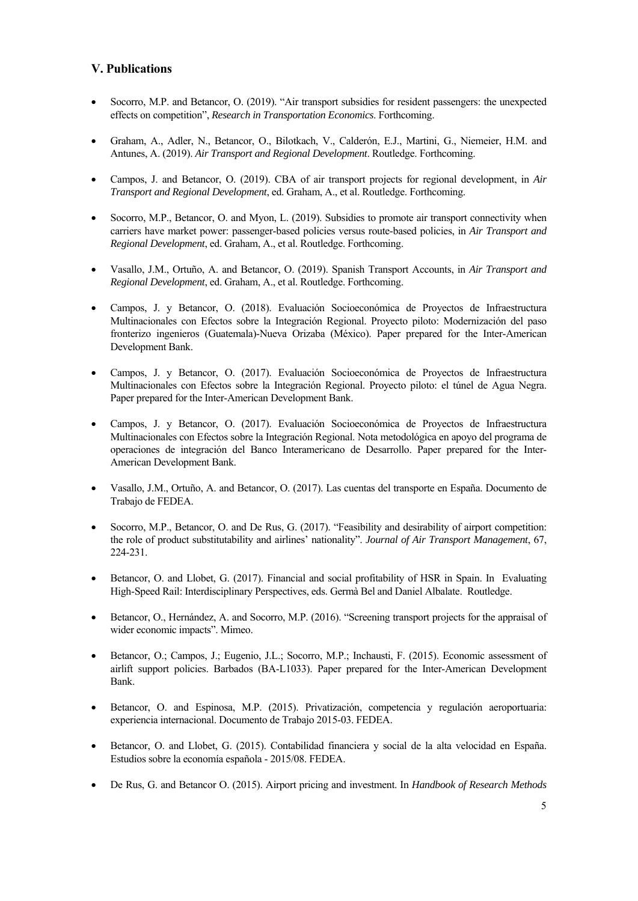## **V. Publications**

- Socorro, M.P. and Betancor, O. (2019). "Air transport subsidies for resident passengers: the unexpected effects on competition", *Research in Transportation Economics*. Forthcoming.
- Graham, A., Adler, N., Betancor, O., Bilotkach, V., Calderón, E.J., Martini, G., Niemeier, H.M. and Antunes, A. (2019). *Air Transport and Regional Development*. Routledge. Forthcoming.
- Campos, J. and Betancor, O. (2019). CBA of air transport projects for regional development, in *Air Transport and Regional Development*, ed. Graham, A., et al. Routledge. Forthcoming.
- Socorro, M.P., Betancor, O. and Myon, L. (2019). Subsidies to promote air transport connectivity when carriers have market power: passenger-based policies versus route-based policies, in *Air Transport and Regional Development*, ed. Graham, A., et al. Routledge. Forthcoming.
- Vasallo, J.M., Ortuño, A. and Betancor, O. (2019). Spanish Transport Accounts, in *Air Transport and Regional Development*, ed. Graham, A., et al. Routledge. Forthcoming.
- Campos, J. y Betancor, O. (2018). Evaluación Socioeconómica de Proyectos de Infraestructura Multinacionales con Efectos sobre la Integración Regional. Proyecto piloto: Modernización del paso fronterizo ingenieros (Guatemala)-Nueva Orizaba (México). Paper prepared for the Inter-American Development Bank.
- Campos, J. y Betancor, O. (2017). Evaluación Socioeconómica de Proyectos de Infraestructura Multinacionales con Efectos sobre la Integración Regional. Proyecto piloto: el túnel de Agua Negra. Paper prepared for the Inter-American Development Bank.
- Campos, J. y Betancor, O. (2017). Evaluación Socioeconómica de Proyectos de Infraestructura Multinacionales con Efectos sobre la Integración Regional. Nota metodológica en apoyo del programa de operaciones de integración del Banco Interamericano de Desarrollo. Paper prepared for the Inter-American Development Bank.
- Vasallo, J.M., Ortuño, A. and Betancor, O. (2017). Las cuentas del transporte en España. Documento de Trabajo de FEDEA.
- Socorro, M.P., Betancor, O. and De Rus, G. (2017). "Feasibility and desirability of airport competition: the role of product substitutability and airlines' nationality". *Journal of Air Transport Management*, 67, 224-231.
- Betancor, O. and Llobet, G. (2017). Financial and social profitability of HSR in Spain. In Evaluating High-Speed Rail: Interdisciplinary Perspectives, eds. Germà Bel and Daniel Albalate. Routledge.
- Betancor, O., Hernández, A. and Socorro, M.P. (2016). "Screening transport projects for the appraisal of wider economic impacts". Mimeo.
- Betancor, O.; Campos, J.; Eugenio, J.L.; Socorro, M.P.; Inchausti, F. (2015). Economic assessment of airlift support policies. Barbados (BA-L1033). Paper prepared for the Inter-American Development Bank.
- Betancor, O. and Espinosa, M.P. (2015). Privatización, competencia y regulación aeroportuaria: experiencia internacional. Documento de Trabajo 2015-03. FEDEA.
- Betancor, O. and Llobet, G. (2015). Contabilidad financiera y social de la alta velocidad en España. Estudios sobre la economía española - 2015/08. FEDEA.
- De Rus, G. and Betancor O. (2015). Airport pricing and investment. In *Handbook of Research Methods*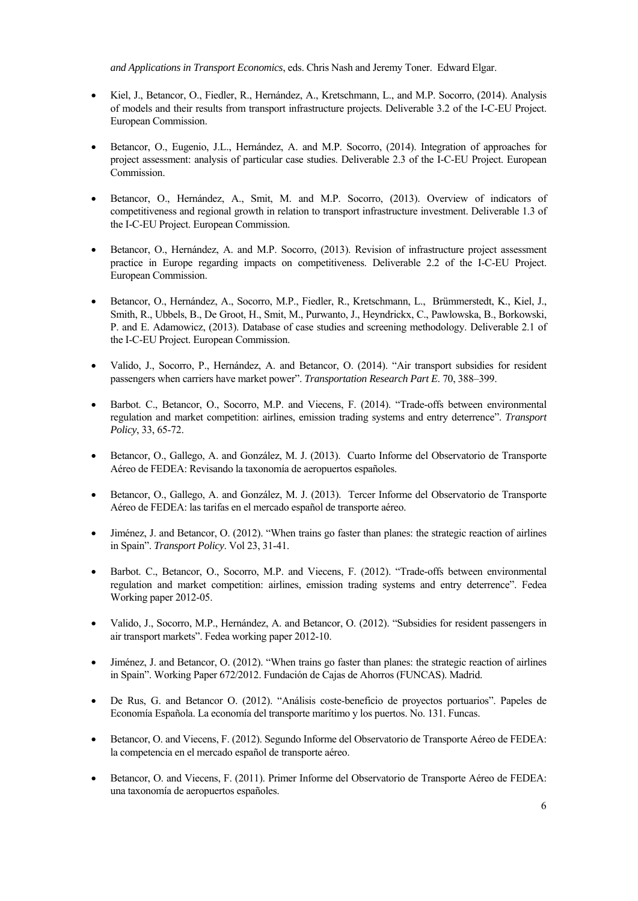*and Applications in Transport Economics*, eds. Chris Nash and Jeremy Toner. Edward Elgar.

- Kiel, J., Betancor, O., Fiedler, R., Hernández, A., Kretschmann, L., and M.P. Socorro, (2014). Analysis of models and their results from transport infrastructure projects. Deliverable 3.2 of the I-C-EU Project. European Commission.
- Betancor, O., Eugenio, J.L., Hernández, A. and M.P. Socorro, (2014). Integration of approaches for project assessment: analysis of particular case studies. Deliverable 2.3 of the I-C-EU Project. European Commission.
- Betancor, O., Hernández, A., Smit, M. and M.P. Socorro, (2013). Overview of indicators of competitiveness and regional growth in relation to transport infrastructure investment. Deliverable 1.3 of the I-C-EU Project. European Commission.
- Betancor, O., Hernández, A. and M.P. Socorro, (2013). Revision of infrastructure project assessment practice in Europe regarding impacts on competitiveness. Deliverable 2.2 of the I-C-EU Project. European Commission.
- Betancor, O., Hernández, A., Socorro, M.P., Fiedler, R., Kretschmann, L., Brümmerstedt, K., Kiel, J., Smith, R., Ubbels, B., De Groot, H., Smit, M., Purwanto, J., Heyndrickx, C., Pawlowska, B., Borkowski, P. and E. Adamowicz, (2013). Database of case studies and screening methodology. Deliverable 2.1 of the I-C-EU Project. European Commission.
- Valido, J., Socorro, P., Hernández, A. and Betancor, O. (2014). "Air transport subsidies for resident passengers when carriers have market power". *Transportation Research Part E*. 70, 388–399.
- Barbot. C., Betancor, O., Socorro, M.P. and Viecens, F. (2014). "Trade-offs between environmental regulation and market competition: airlines, emission trading systems and entry deterrence". *Transport Policy*, 33, 65-72.
- Betancor, O., Gallego, A. and González, M. J. (2013). Cuarto Informe del Observatorio de Transporte Aéreo de FEDEA: Revisando la taxonomía de aeropuertos españoles.
- Betancor, O., Gallego, A. and González, M. J. (2013). Tercer Informe del Observatorio de Transporte Aéreo de FEDEA: las tarifas en el mercado español de transporte aéreo.
- Jiménez, J. and Betancor, O. (2012). "When trains go faster than planes: the strategic reaction of airlines in Spain". *Transport Policy*. Vol 23, 31-41.
- Barbot. C., Betancor, O., Socorro, M.P. and Viecens, F. (2012). "Trade-offs between environmental regulation and market competition: airlines, emission trading systems and entry deterrence". Fedea Working paper 2012-05.
- Valido, J., Socorro, M.P., Hernández, A. and Betancor, O. (2012). "Subsidies for resident passengers in air transport markets". Fedea working paper 2012-10.
- Jiménez, J. and Betancor, O. (2012). "When trains go faster than planes: the strategic reaction of airlines in Spain". Working Paper 672/2012. Fundación de Cajas de Ahorros (FUNCAS). Madrid.
- De Rus, G. and Betancor O. (2012). "Análisis coste-beneficio de proyectos portuarios". Papeles de Economía Española. La economía del transporte marítimo y los puertos. No. 131. Funcas.
- Betancor, O. and Viecens, F. (2012). Segundo Informe del Observatorio de Transporte Aéreo de FEDEA: la competencia en el mercado español de transporte aéreo.
- Betancor, O. and Viecens, F. (2011). Primer Informe del Observatorio de Transporte Aéreo de FEDEA: una taxonomía de aeropuertos españoles.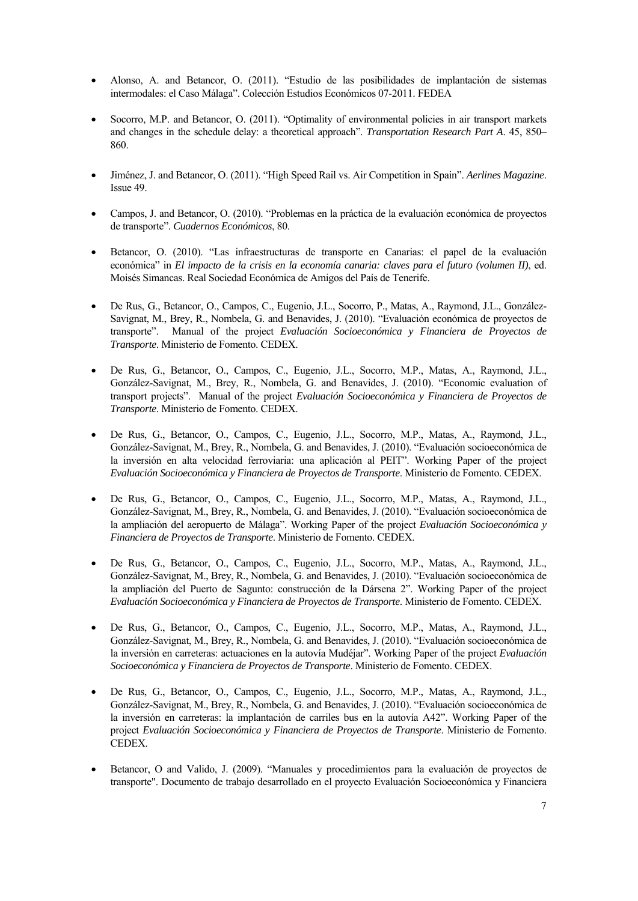- Alonso, A. and Betancor, O. (2011). "Estudio de las posibilidades de implantación de sistemas intermodales: el Caso Málaga". Colección Estudios Económicos 07-2011. FEDEA
- Socorro, M.P. and Betancor, O. (2011). "Optimality of environmental policies in air transport markets and changes in the schedule delay: a theoretical approach". *Transportation Research Part A*. 45, 850– 860.
- Jiménez, J. and Betancor, O. (2011). "High Speed Rail vs. Air Competition in Spain". *Aerlines Magazine*. Issue 49.
- Campos, J. and Betancor, O. (2010). "Problemas en la práctica de la evaluación económica de proyectos de transporte". *Cuadernos Económicos*, 80.
- Betancor, O. (2010). "Las infraestructuras de transporte en Canarias: el papel de la evaluación económica" in *El impacto de la crisis en la economía canaria: claves para el futuro (volumen II)*, ed. Moisés Simancas. Real Sociedad Económica de Amigos del País de Tenerife.
- De Rus, G., Betancor, O., Campos, C., Eugenio, J.L., Socorro, P., Matas, A., Raymond, J.L., González-Savignat, M., Brey, R., Nombela, G. and Benavides, J. (2010). "Evaluación económica de proyectos de transporte". Manual of the project *Evaluación Socioeconómica y Financiera de Proyectos de Transporte*. Ministerio de Fomento. CEDEX.
- De Rus, G., Betancor, O., Campos, C., Eugenio, J.L., Socorro, M.P., Matas, A., Raymond, J.L., González-Savignat, M., Brey, R., Nombela, G. and Benavides, J. (2010). "Economic evaluation of transport projects". Manual of the project *Evaluación Socioeconómica y Financiera de Proyectos de Transporte*. Ministerio de Fomento. CEDEX.
- De Rus, G., Betancor, O., Campos, C., Eugenio, J.L., Socorro, M.P., Matas, A., Raymond, J.L., González-Savignat, M., Brey, R., Nombela, G. and Benavides, J. (2010). "Evaluación socioeconómica de la inversión en alta velocidad ferroviaria: una aplicación al PEIT". Working Paper of the project *Evaluación Socioeconómica y Financiera de Proyectos de Transporte*. Ministerio de Fomento. CEDEX.
- De Rus, G., Betancor, O., Campos, C., Eugenio, J.L., Socorro, M.P., Matas, A., Raymond, J.L., González-Savignat, M., Brey, R., Nombela, G. and Benavides, J. (2010). "Evaluación socioeconómica de la ampliación del aeropuerto de Málaga". Working Paper of the project *Evaluación Socioeconómica y Financiera de Proyectos de Transporte*. Ministerio de Fomento. CEDEX.
- De Rus, G., Betancor, O., Campos, C., Eugenio, J.L., Socorro, M.P., Matas, A., Raymond, J.L., González-Savignat, M., Brey, R., Nombela, G. and Benavides, J. (2010). "Evaluación socioeconómica de la ampliación del Puerto de Sagunto: construcción de la Dársena 2". Working Paper of the project *Evaluación Socioeconómica y Financiera de Proyectos de Transporte*. Ministerio de Fomento. CEDEX.
- De Rus, G., Betancor, O., Campos, C., Eugenio, J.L., Socorro, M.P., Matas, A., Raymond, J.L., González-Savignat, M., Brey, R., Nombela, G. and Benavides, J. (2010). "Evaluación socioeconómica de la inversión en carreteras: actuaciones en la autovía Mudéjar". Working Paper of the project *Evaluación Socioeconómica y Financiera de Proyectos de Transporte*. Ministerio de Fomento. CEDEX.
- De Rus, G., Betancor, O., Campos, C., Eugenio, J.L., Socorro, M.P., Matas, A., Raymond, J.L., González-Savignat, M., Brey, R., Nombela, G. and Benavides, J. (2010). "Evaluación socioeconómica de la inversión en carreteras: la implantación de carriles bus en la autovía A42". Working Paper of the project *Evaluación Socioeconómica y Financiera de Proyectos de Transporte*. Ministerio de Fomento. CEDEX.
- Betancor, O and Valido, J. (2009). "Manuales y procedimientos para la evaluación de proyectos de transporte". Documento de trabajo desarrollado en el proyecto Evaluación Socioeconómica y Financiera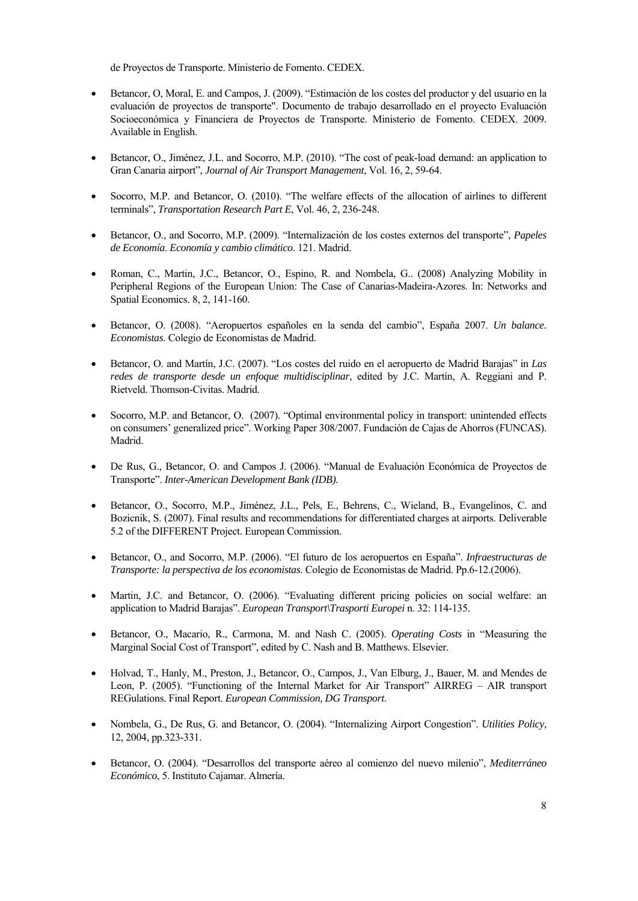de Proyectos de Transporte. Ministerio de Fomento. CEDEX.

- Betancor, O, Moral, E. and Campos, J. (2009). "Estimación de los costes del productor y del usuario en la evaluación de proyectos de transporte". Documento de trabajo desarrollado en el proyecto Evaluación Socioeconómica y Financiera de Proyectos de Transporte. Ministerio de Fomento. CEDEX. 2009. Available in English.
- Betancor, O., Jiménez, J.L. and Socorro, M.P. (2010). "The cost of peak-load demand: an application to Gran Canaria airport", *Journal of Air Transport Management*, Vol. 16, 2, 59-64.
- Socorro, M.P. and Betancor, O. (2010). "The welfare effects of the allocation of airlines to different terminals", *Transportation Research Part E*, Vol. 46, 2, 236-248.
- Betancor, O., and Socorro, M.P. (2009). "Internalización de los costes externos del transporte", *Papeles de Economía*. *Economía y cambio climático*. 121. Madrid.
- Roman, C., Martin, J.C., Betancor, O., Espino, R. and Nombela, G.. (2008) Analyzing Mobility in Peripheral Regions of the European Union: The Case of Canarias-Madeira-Azores. In: Networks and Spatial Economics. 8, 2, 141-160.
- Betancor, O. (2008). "Aeropuertos españoles en la senda del cambio", España 2007. *Un balance. Economistas*. Colegio de Economistas de Madrid.
- Betancor, O. and Martín, J.C. (2007). "Los costes del ruido en el aeropuerto de Madrid Barajas" in *Las redes de transporte desde un enfoque multidisciplinar*, edited by J.C. Martín, A. Reggiani and P. Rietveld. Thomson-Civitas. Madrid.
- Socorro, M.P. and Betancor, O. (2007). "Optimal environmental policy in transport: unintended effects on consumers' generalized price". Working Paper 308/2007. Fundación de Cajas de Ahorros (FUNCAS). Madrid.
- De Rus, G., Betancor, O. and Campos J. (2006). "Manual de Evaluación Económica de Proyectos de Transporte". *Inter-American Development Bank (IDB)*.
- Betancor, O., Socorro, M.P., Jiménez, J.L., Pels, E., Behrens, C., Wieland, B., Evangelinos, C. and Bozicnik, S. (2007). Final results and recommendations for differentiated charges at airports. Deliverable 5.2 of the DIFFERENT Project. European Commission.
- Betancor, O., and Socorro, M.P. (2006). "El futuro de los aeropuertos en España". *Infraestructuras de Transporte: la perspectiva de los economistas*. Colegio de Economistas de Madrid. Pp.6-12.(2006).
- Martin, J.C. and Betancor, O. (2006). "Evaluating different pricing policies on social welfare: an application to Madrid Barajas". *European Transport\Trasporti Europei* n. 32: 114-135.
- Betancor, O., Macario, R., Carmona, M. and Nash C. (2005). *Operating Costs* in "Measuring the Marginal Social Cost of Transport", edited by C. Nash and B. Matthews. Elsevier.
- Holvad, T., Hanly, M., Preston, J., Betancor, O., Campos, J., Van Elburg, J., Bauer, M. and Mendes de Leon, P. (2005). "Functioning of the Internal Market for Air Transport" AIRREG – AIR transport REGulations. Final Report. *European Commission, DG Transport*.
- Nombela, G., De Rus, G. and Betancor, O. (2004). "Internalizing Airport Congestion". *Utilities Policy*, 12, 2004, pp.323-331.
- Betancor, O. (2004). "Desarrollos del transporte aéreo al comienzo del nuevo milenio", *Mediterráneo Económico*, 5. Instituto Cajamar. Almería.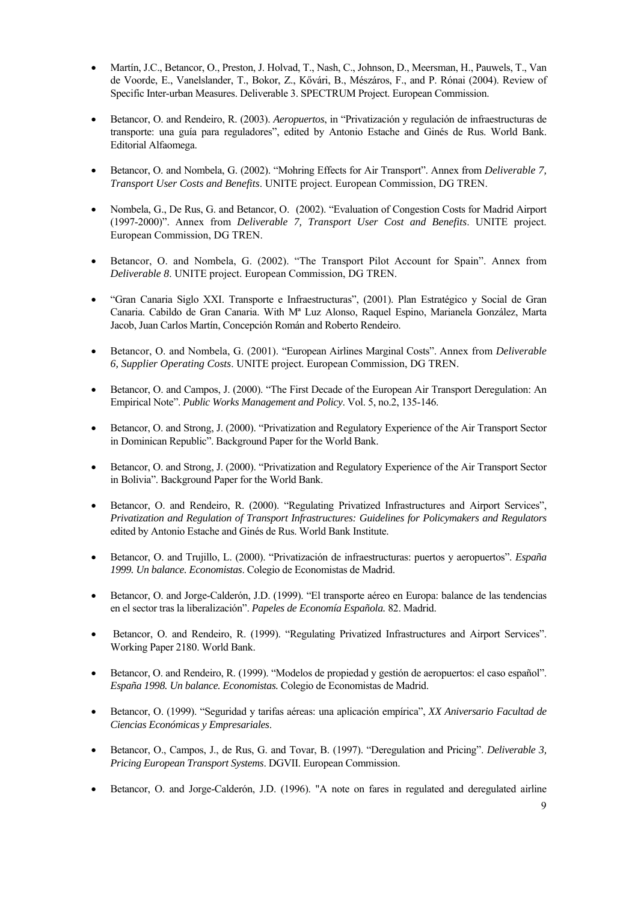- Martín, J.C., Betancor, O., Preston, J. Holvad, T., Nash, C., Johnson, D., Meersman, H., Pauwels, T., Van de Voorde, E., Vanelslander, T., Bokor, Z., Kővári, B., Mészáros, F., and P. Rónai (2004). Review of Specific Inter-urban Measures. Deliverable 3. SPECTRUM Project. European Commission.
- Betancor, O. and Rendeiro, R. (2003). *Aeropuertos*, in "Privatización y regulación de infraestructuras de transporte: una guía para reguladores", edited by Antonio Estache and Ginés de Rus. World Bank. Editorial Alfaomega.
- Betancor, O. and Nombela, G. (2002). "Mohring Effects for Air Transport". Annex from *Deliverable 7, Transport User Costs and Benefits*. UNITE project. European Commission, DG TREN.
- Nombela, G., De Rus, G. and Betancor, O. (2002). "Evaluation of Congestion Costs for Madrid Airport (1997-2000)". Annex from *Deliverable 7, Transport User Cost and Benefits*. UNITE project. European Commission, DG TREN.
- Betancor, O. and Nombela, G. (2002). "The Transport Pilot Account for Spain". Annex from *Deliverable 8*. UNITE project. European Commission, DG TREN.
- "Gran Canaria Siglo XXI. Transporte e Infraestructuras", (2001). Plan Estratégico y Social de Gran Canaria. Cabildo de Gran Canaria. With Mª Luz Alonso, Raquel Espino, Marianela González, Marta Jacob, Juan Carlos Martín, Concepción Román and Roberto Rendeiro.
- Betancor, O. and Nombela, G. (2001). "European Airlines Marginal Costs". Annex from *Deliverable 6, Supplier Operating Costs*. UNITE project. European Commission, DG TREN.
- Betancor, O. and Campos, J. (2000). "The First Decade of the European Air Transport Deregulation: An Empirical Note". *Public Works Management and Policy*. Vol. 5, no.2, 135-146.
- Betancor, O. and Strong, J. (2000). "Privatization and Regulatory Experience of the Air Transport Sector in Dominican Republic". Background Paper for the World Bank.
- Betancor, O. and Strong, J. (2000). "Privatization and Regulatory Experience of the Air Transport Sector in Bolivia". Background Paper for the World Bank.
- Betancor, O. and Rendeiro, R. (2000). "Regulating Privatized Infrastructures and Airport Services", *Privatization and Regulation of Transport Infrastructures: Guidelines for Policymakers and Regulators* edited by Antonio Estache and Ginés de Rus. World Bank Institute.
- Betancor, O. and Trujillo, L. (2000). "Privatización de infraestructuras: puertos y aeropuertos". *España 1999. Un balance. Economistas*. Colegio de Economistas de Madrid.
- Betancor, O. and Jorge-Calderón, J.D. (1999). "El transporte aéreo en Europa: balance de las tendencias en el sector tras la liberalización". *Papeles de Economía Española.* 82. Madrid.
- Betancor, O. and Rendeiro, R. (1999). "Regulating Privatized Infrastructures and Airport Services". Working Paper 2180. World Bank.
- Betancor, O. and Rendeiro, R. (1999). "Modelos de propiedad y gestión de aeropuertos: el caso español". *España 1998. Un balance. Economistas.* Colegio de Economistas de Madrid.
- Betancor, O. (1999). "Seguridad y tarifas aéreas: una aplicación empírica", *XX Aniversario Facultad de Ciencias Económicas y Empresariales*.
- Betancor, O., Campos, J., de Rus, G. and Tovar, B. (1997). "Deregulation and Pricing". *Deliverable 3, Pricing European Transport Systems*. DGVII. European Commission.
- Betancor, O. and Jorge-Calderón, J.D. (1996). "A note on fares in regulated and deregulated airline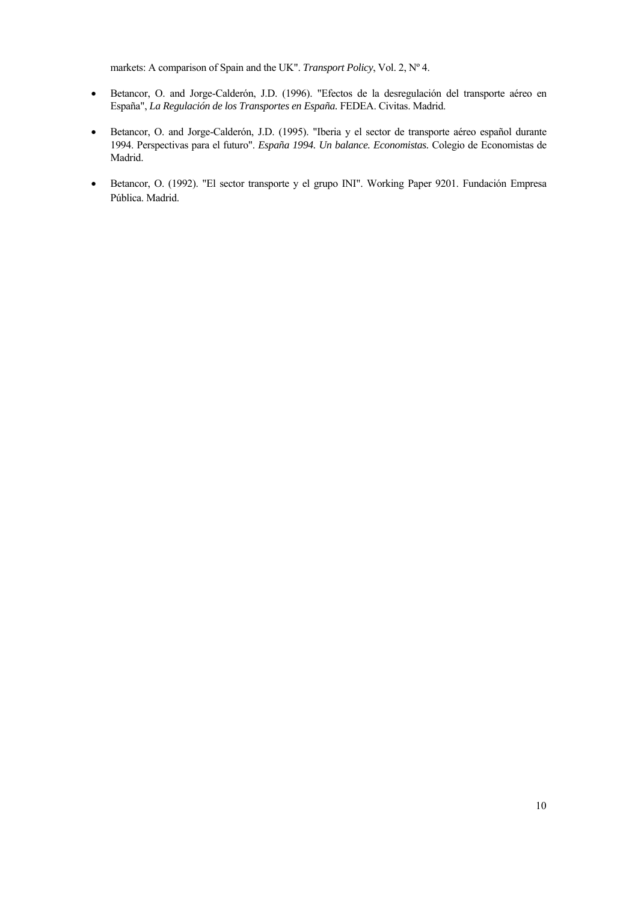markets: A comparison of Spain and the UK". *Transport Policy*, Vol. 2, Nº 4.

- Betancor, O. and Jorge-Calderón, J.D. (1996). "Efectos de la desregulación del transporte aéreo en España", *La Regulación de los Transportes en España.* FEDEA. Civitas. Madrid.
- Betancor, O. and Jorge-Calderón, J.D. (1995). "Iberia y el sector de transporte aéreo español durante 1994. Perspectivas para el futuro". *España 1994. Un balance. Economistas.* Colegio de Economistas de Madrid.
- Betancor, O. (1992). "El sector transporte y el grupo INI". Working Paper 9201. Fundación Empresa Pública. Madrid.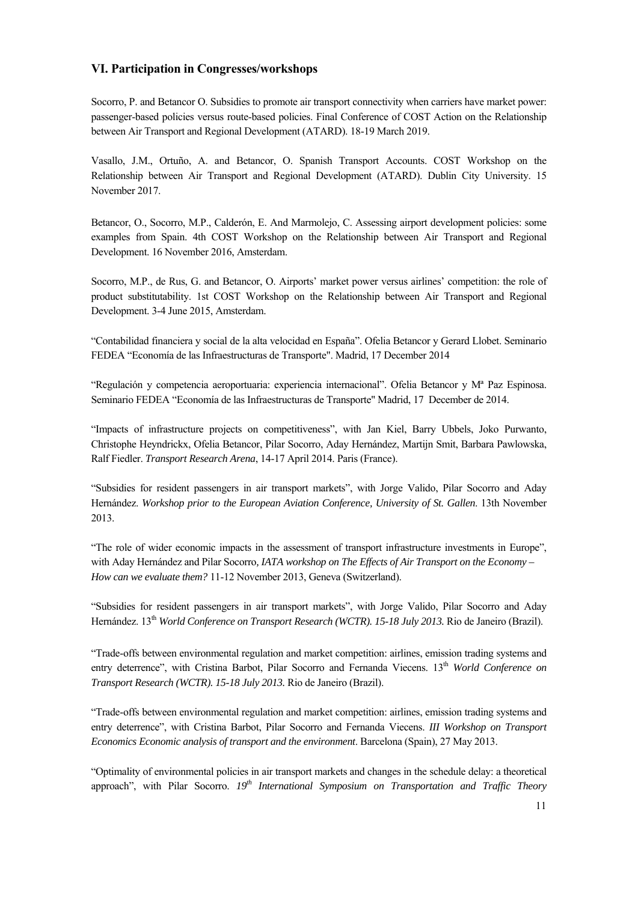#### **VI. Participation in Congresses/workshops**

Socorro, P. and Betancor O. Subsidies to promote air transport connectivity when carriers have market power: passenger-based policies versus route-based policies. Final Conference of COST Action on the Relationship between Air Transport and Regional Development (ATARD). 18-19 March 2019.

Vasallo, J.M., Ortuño, A. and Betancor, O. Spanish Transport Accounts. COST Workshop on the Relationship between Air Transport and Regional Development (ATARD). Dublin City University. 15 November 2017.

Betancor, O., Socorro, M.P., Calderón, E. And Marmolejo, C. Assessing airport development policies: some examples from Spain. 4th COST Workshop on the Relationship between Air Transport and Regional Development. 16 November 2016, Amsterdam.

Socorro, M.P., de Rus, G. and Betancor, O. Airports' market power versus airlines' competition: the role of product substitutability. 1st COST Workshop on the Relationship between Air Transport and Regional Development. 3-4 June 2015, Amsterdam.

"Contabilidad financiera y social de la alta velocidad en España". Ofelia Betancor y Gerard Llobet. Seminario FEDEA "Economía de las Infraestructuras de Transporte". Madrid, 17 December 2014

"Regulación y competencia aeroportuaria: experiencia internacional". Ofelia Betancor y Mª Paz Espinosa. Seminario FEDEA "Economía de las Infraestructuras de Transporte" Madrid, 17 December de 2014.

"Impacts of infrastructure projects on competitiveness", with Jan Kiel, Barry Ubbels, Joko Purwanto, Christophe Heyndrickx, Ofelia Betancor, Pilar Socorro, Aday Hernández, Martijn Smit, Barbara Pawlowska, Ralf Fiedler. *Transport Research Arena*, 14-17 April 2014. Paris (France).

"Subsidies for resident passengers in air transport markets", with Jorge Valido, Pilar Socorro and Aday Hernández. *Workshop prior to the European Aviation Conference, University of St. Gallen*. 13th November 2013.

"The role of wider economic impacts in the assessment of transport infrastructure investments in Europe", with Aday Hernández and Pilar Socorro, IATA workshop on The Effects of Air Transport on the Economy -*How can we evaluate them?* 11-12 November 2013, Geneva (Switzerland).

"Subsidies for resident passengers in air transport markets", with Jorge Valido, Pilar Socorro and Aday Hernández. 13<sup>th</sup> *World Conference on Transport Research (WCTR). 15-18 July 2013. Rio de Janeiro (Brazil).* 

"Trade-offs between environmental regulation and market competition: airlines, emission trading systems and entry deterrence", with Cristina Barbot, Pilar Socorro and Fernanda Viecens. 13<sup>th</sup> World Conference on *Transport Research (WCTR). 15-18 July 2013.* Rio de Janeiro (Brazil).

"Trade-offs between environmental regulation and market competition: airlines, emission trading systems and entry deterrence", with Cristina Barbot, Pilar Socorro and Fernanda Viecens. *III Workshop on Transport Economics Economic analysis of transport and the environment*. Barcelona (Spain), 27 May 2013.

"Optimality of environmental policies in air transport markets and changes in the schedule delay: a theoretical approach", with Pilar Socorro. 19<sup>th</sup> International Symposium on Transportation and Traffic Theory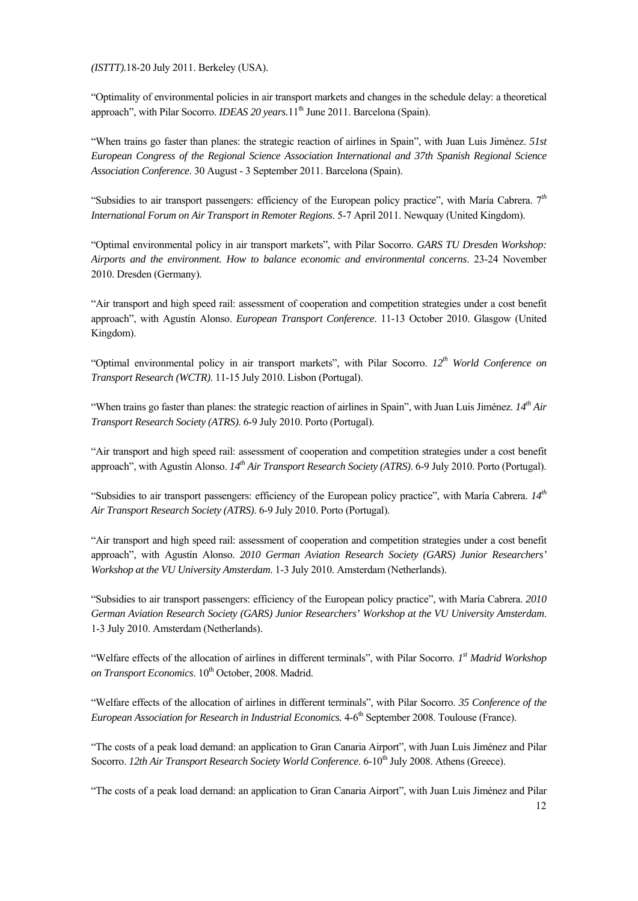*(ISTTT).*18-20 July 2011. Berkeley (USA).

"Optimality of environmental policies in air transport markets and changes in the schedule delay: a theoretical approach", with Pilar Socorro. *IDEAS 20 years*. 11<sup>th</sup> June 2011. Barcelona (Spain).

"When trains go faster than planes: the strategic reaction of airlines in Spain", with Juan Luis Jiménez. *51st European Congress of the Regional Science Association International and 37th Spanish Regional Science Association Conference*. 30 August - 3 September 2011. Barcelona (Spain).

"Subsidies to air transport passengers: efficiency of the European policy practice", with María Cabrera. 7*th International Forum on Air Transport in Remoter Regions*. 5-7 April 2011. Newquay (United Kingdom).

"Optimal environmental policy in air transport markets", with Pilar Socorro. *GARS TU Dresden Workshop: Airports and the environment. How to balance economic and environmental concerns*. 23-24 November 2010. Dresden (Germany).

"Air transport and high speed rail: assessment of cooperation and competition strategies under a cost benefit approach", with Agustín Alonso. *European Transport Conference*. 11-13 October 2010. Glasgow (United Kingdom).

"Optimal environmental policy in air transport markets", with Pilar Socorro. *12th World Conference on Transport Research (WCTR)*. 11-15 July 2010. Lisbon (Portugal).

"When trains go faster than planes: the strategic reaction of airlines in Spain", with Juan Luis Jiménez. *14th Air Transport Research Society (ATRS)*. 6-9 July 2010. Porto (Portugal).

"Air transport and high speed rail: assessment of cooperation and competition strategies under a cost benefit approach", with Agustín Alonso. *14<sup>th</sup> Air Transport Research Society (ATRS)*. 6-9 July 2010. Porto (Portugal).

"Subsidies to air transport passengers: efficiency of the European policy practice", with María Cabrera. *14th Air Transport Research Society (ATRS)*. 6-9 July 2010. Porto (Portugal).

"Air transport and high speed rail: assessment of cooperation and competition strategies under a cost benefit approach", with Agustín Alonso. *2010 German Aviation Research Society (GARS) Junior Researchers' Workshop at the VU University Amsterdam*. 1-3 July 2010. Amsterdam (Netherlands).

"Subsidies to air transport passengers: efficiency of the European policy practice", with María Cabrera. *2010 German Aviation Research Society (GARS) Junior Researchers' Workshop at the VU University Amsterdam*. 1-3 July 2010. Amsterdam (Netherlands).

"Welfare effects of the allocation of airlines in different terminals", with Pilar Socorro. *1st Madrid Workshop*  on Transport Economics. 10<sup>th</sup> October, 2008. Madrid.

"Welfare effects of the allocation of airlines in different terminals", with Pilar Socorro. *35 Conference of the European Association for Research in Industrial Economics.*  $4-6<sup>th</sup>$  September 2008. Toulouse (France).

"The costs of a peak load demand: an application to Gran Canaria Airport", with Juan Luis Jiménez and Pilar Socorro. *12th Air Transport Research Society World Conference*. 6-10<sup>th</sup> July 2008. Athens (Greece).

"The costs of a peak load demand: an application to Gran Canaria Airport", with Juan Luis Jiménez and Pilar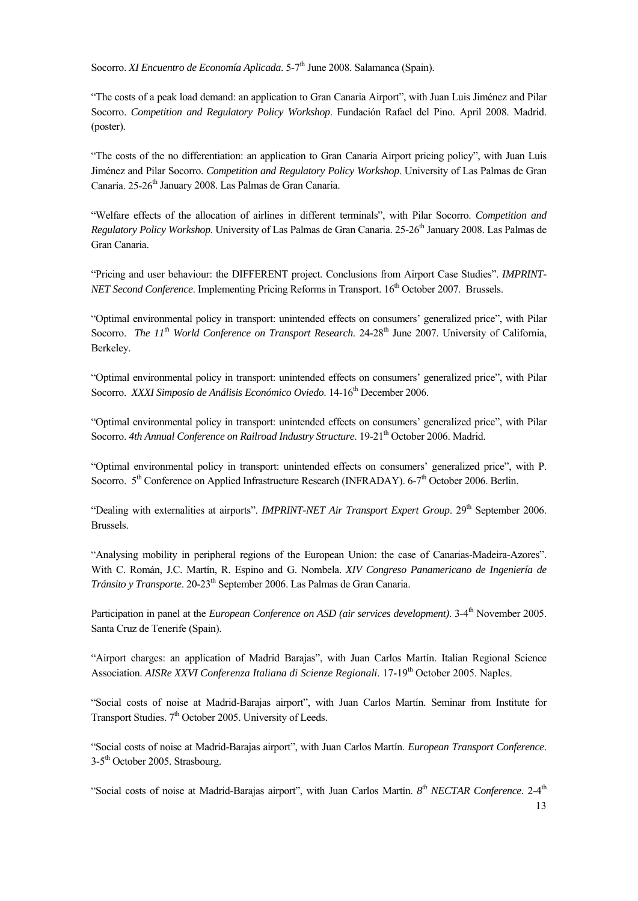Socorro. *XI Encuentro de Economía Aplicada*. 5-7<sup>th</sup> June 2008. Salamanca (Spain).

"The costs of a peak load demand: an application to Gran Canaria Airport", with Juan Luis Jiménez and Pilar Socorro. *Competition and Regulatory Policy Workshop*. Fundación Rafael del Pino. April 2008. Madrid. (poster).

"The costs of the no differentiation: an application to Gran Canaria Airport pricing policy", with Juan Luis Jiménez and Pilar Socorro. *Competition and Regulatory Policy Workshop*. University of Las Palmas de Gran Canaria. 25-26<sup>th</sup> January 2008. Las Palmas de Gran Canaria.

"Welfare effects of the allocation of airlines in different terminals", with Pilar Socorro. *Competition and Regulatory Policy Workshop*. University of Las Palmas de Gran Canaria. 25-26<sup>th</sup> January 2008. Las Palmas de Gran Canaria.

"Pricing and user behaviour: the DIFFERENT project. Conclusions from Airport Case Studies". *IMPRINT-NET Second Conference*. Implementing Pricing Reforms in Transport. 16<sup>th</sup> October 2007. Brussels.

"Optimal environmental policy in transport: unintended effects on consumers' generalized price", with Pilar Socorro. *The 11<sup>th</sup> World Conference on Transport Research.* 24-28<sup>th</sup> June 2007. University of California, Berkeley.

"Optimal environmental policy in transport: unintended effects on consumers' generalized price", with Pilar Socorro. *XXXI Simposio de Análisis Económico Oviedo*. 14-16<sup>th</sup> December 2006.

"Optimal environmental policy in transport: unintended effects on consumers' generalized price", with Pilar Socorro. 4th Annual Conference on Railroad Industry Structure. 19-21<sup>th</sup> October 2006. Madrid.

"Optimal environmental policy in transport: unintended effects on consumers' generalized price", with P. Socorro. 5<sup>th</sup> Conference on Applied Infrastructure Research (INFRADAY). 6-7<sup>th</sup> October 2006. Berlin.

"Dealing with externalities at airports". *IMPRINT-NET Air Transport Expert Group*. 29<sup>th</sup> September 2006. Brussels.

"Analysing mobility in peripheral regions of the European Union: the case of Canarias-Madeira-Azores". With C. Román, J.C. Martín, R. Espino and G. Nombela. *XIV Congreso Panamericano de Ingeniería de Tránsito y Transporte*. 20-23th September 2006. Las Palmas de Gran Canaria.

Participation in panel at the *European Conference on ASD (air services development)*. 3-4<sup>th</sup> November 2005. Santa Cruz de Tenerife (Spain).

"Airport charges: an application of Madrid Barajas", with Juan Carlos Martín. Italian Regional Science Association. *AISRe XXVI Conferenza Italiana di Scienze Regionali*. 17-19<sup>th</sup> October 2005. Naples.

"Social costs of noise at Madrid-Barajas airport", with Juan Carlos Martín. Seminar from Institute for Transport Studies. 7<sup>th</sup> October 2005. University of Leeds.

"Social costs of noise at Madrid-Barajas airport", with Juan Carlos Martín. *European Transport Conference*. 3-5th October 2005. Strasbourg.

"Social costs of noise at Madrid-Barajas airport", with Juan Carlos Martín. *8th NECTAR Conference*. 2-4th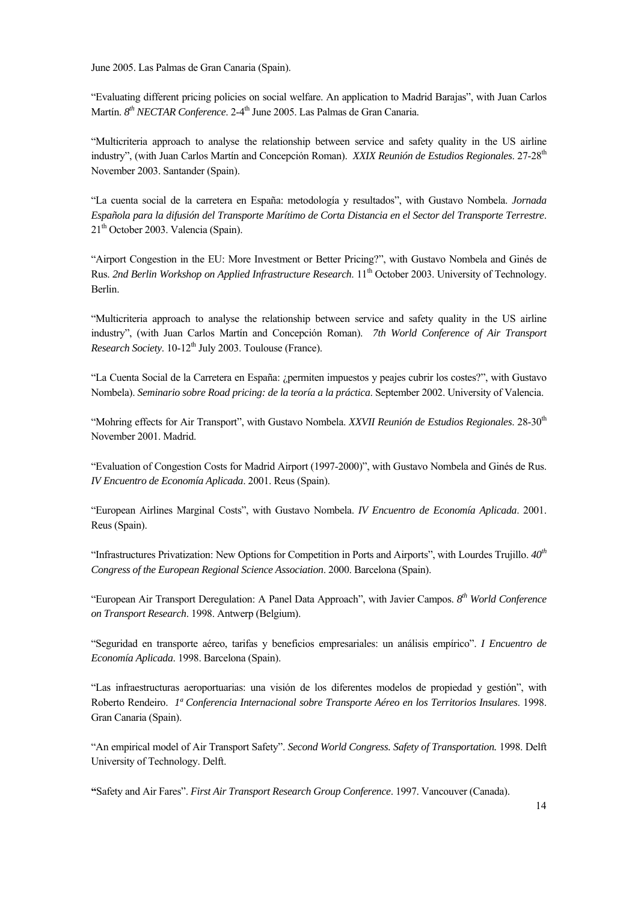June 2005. Las Palmas de Gran Canaria (Spain).

"Evaluating different pricing policies on social welfare. An application to Madrid Barajas", with Juan Carlos Martín. *8<sup>th</sup> NECTAR Conference*. 2-4<sup>th</sup> June 2005. Las Palmas de Gran Canaria.

"Multicriteria approach to analyse the relationship between service and safety quality in the US airline industry", (with Juan Carlos Martín and Concepción Roman). *XXIX Reunión de Estudios Regionales*. 27-28th November 2003. Santander (Spain).

"La cuenta social de la carretera en España: metodología y resultados", with Gustavo Nombela. *Jornada Española para la difusión del Transporte Marítimo de Corta Distancia en el Sector del Transporte Terrestre*.  $21<sup>th</sup>$  October 2003. Valencia (Spain).

"Airport Congestion in the EU: More Investment or Better Pricing?", with Gustavo Nombela and Ginés de Rus. 2nd Berlin Workshop on Applied Infrastructure Research. 11<sup>th</sup> October 2003. University of Technology. Berlin.

"Multicriteria approach to analyse the relationship between service and safety quality in the US airline industry", (with Juan Carlos Martín and Concepción Roman). *7th World Conference of Air Transport Research Society.* 10-12<sup>th</sup> July 2003. Toulouse (France).

"La Cuenta Social de la Carretera en España: ¿permiten impuestos y peajes cubrir los costes?", with Gustavo Nombela). *Seminario sobre Road pricing: de la teoría a la práctica*. September 2002. University of Valencia.

"Mohring effects for Air Transport", with Gustavo Nombela. *XXVII Reunión de Estudios Regionales*. 28-30th November 2001. Madrid.

"Evaluation of Congestion Costs for Madrid Airport (1997-2000)", with Gustavo Nombela and Ginés de Rus. *IV Encuentro de Economía Aplicada*. 2001. Reus (Spain).

"European Airlines Marginal Costs", with Gustavo Nombela. *IV Encuentro de Economía Aplicada*. 2001. Reus (Spain).

"Infrastructures Privatization: New Options for Competition in Ports and Airports", with Lourdes Trujillo. *40th Congress of the European Regional Science Association*. 2000. Barcelona (Spain).

"European Air Transport Deregulation: A Panel Data Approach", with Javier Campos. *8th World Conference on Transport Research*. 1998. Antwerp (Belgium).

"Seguridad en transporte aéreo, tarifas y beneficios empresariales: un análisis empírico". *I Encuentro de Economía Aplicada*. 1998. Barcelona (Spain).

"Las infraestructuras aeroportuarias: una visión de los diferentes modelos de propiedad y gestión", with Roberto Rendeiro. *1ª Conferencia Internacional sobre Transporte Aéreo en los Territorios Insulares*. 1998. Gran Canaria (Spain).

"An empirical model of Air Transport Safety". *Second World Congress. Safety of Transportation.* 1998. Delft University of Technology. Delft.

**"**Safety and Air Fares". *First Air Transport Research Group Conference*. 1997. Vancouver (Canada).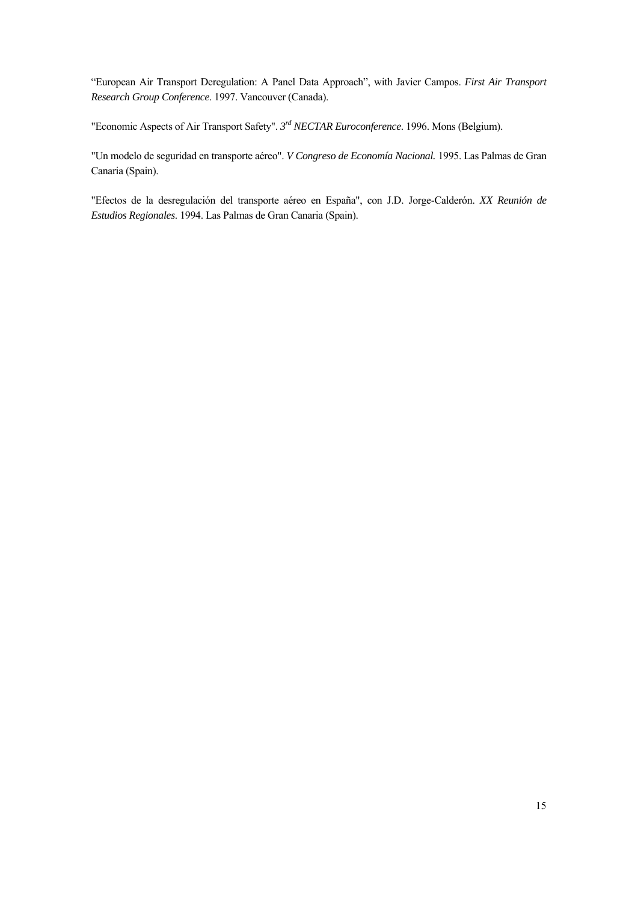"European Air Transport Deregulation: A Panel Data Approach", with Javier Campos. *First Air Transport Research Group Conference*. 1997. Vancouver (Canada).

"Economic Aspects of Air Transport Safety". *3rd NECTAR Euroconference*. 1996. Mons (Belgium).

"Un modelo de seguridad en transporte aéreo". *V Congreso de Economía Nacional.* 1995. Las Palmas de Gran Canaria (Spain).

"Efectos de la desregulación del transporte aéreo en España", con J.D. Jorge-Calderón. *XX Reunión de Estudios Regionales*. 1994. Las Palmas de Gran Canaria (Spain).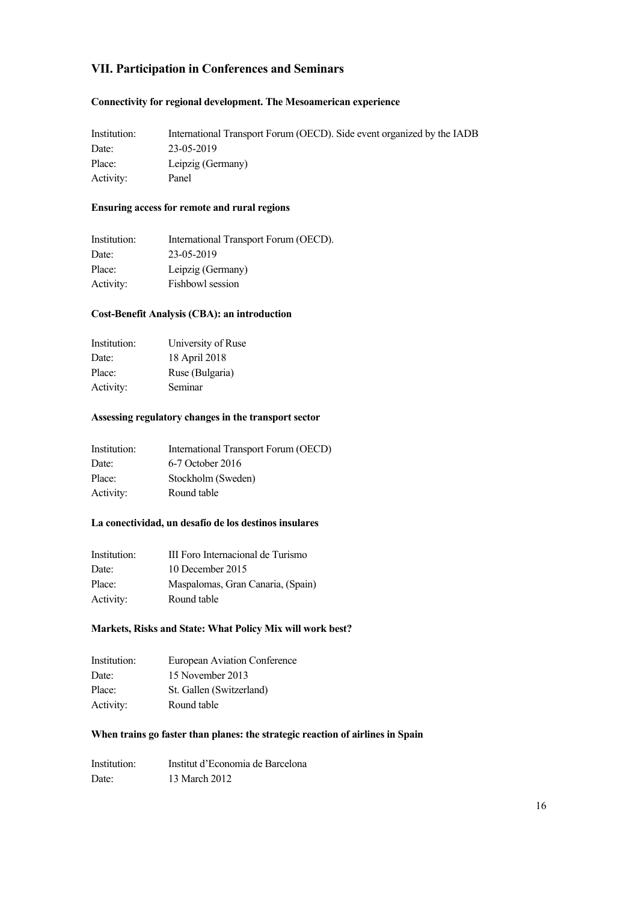## **VII. Participation in Conferences and Seminars**

#### **Connectivity for regional development. The Mesoamerican experience**

| Institution: | International Transport Forum (OECD). Side event organized by the IADB |
|--------------|------------------------------------------------------------------------|
| Date:        | 23-05-2019                                                             |
| Place:       | Leipzig (Germany)                                                      |
| Activity:    | Panel                                                                  |

#### **Ensuring access for remote and rural regions**

| Institution: | International Transport Forum (OECD). |
|--------------|---------------------------------------|
| Date:        | 23-05-2019                            |
| Place:       | Leipzig (Germany)                     |
| Activity:    | Fishbowl session                      |

#### **Cost-Benefit Analysis (CBA): an introduction**

| Institution: | University of Ruse |
|--------------|--------------------|
| Date:        | 18 April 2018      |
| Place:       | Ruse (Bulgaria)    |
| Activity:    | Seminar            |

#### **Assessing regulatory changes in the transport sector**

| International Transport Forum (OECD) |
|--------------------------------------|
| 6-7 October 2016                     |
| Stockholm (Sweden)                   |
| Round table                          |
|                                      |

#### **La conectividad, un desafío de los destinos insulares**

| Institution: | III Foro Internacional de Turismo |
|--------------|-----------------------------------|
| Date:        | 10 December 2015                  |
| Place:       | Maspalomas, Gran Canaria, (Spain) |
| Activity:    | Round table                       |

#### **Markets, Risks and State: What Policy Mix will work best?**

| Institution: | <b>European Aviation Conference</b> |
|--------------|-------------------------------------|
| Date:        | 15 November 2013                    |
| Place:       | St. Gallen (Switzerland)            |
| Activity:    | Round table                         |

#### **When trains go faster than planes: the strategic reaction of airlines in Spain**

| Institution: | Institut d'Economia de Barcelona |
|--------------|----------------------------------|
| Date:        | 13 March 2012                    |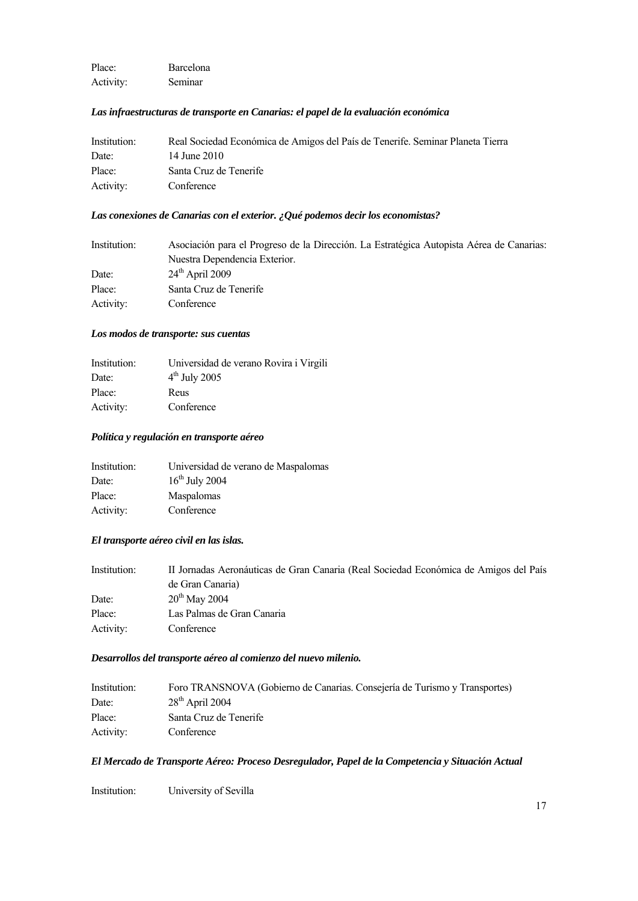Place: Barcelona Activity: Seminar

#### *Las infraestructuras de transporte en Canarias: el papel de la evaluación económica*

| Institution: | Real Sociedad Económica de Amigos del País de Tenerife. Seminar Planeta Tierra |
|--------------|--------------------------------------------------------------------------------|
| Date:        | 14 June 2010                                                                   |
| Place:       | Santa Cruz de Tenerife                                                         |
| Activity:    | Conference                                                                     |

#### *Las conexiones de Canarias con el exterior. ¿Qué podemos decir los economistas?*

| Institution: | Asociación para el Progreso de la Dirección. La Estratégica Autopista Aérea de Canarias: |
|--------------|------------------------------------------------------------------------------------------|
|              | Nuestra Dependencia Exterior.                                                            |
| Date:        | $24^{\text{th}}$ April 2009                                                              |
| Place:       | Santa Cruz de Tenerife                                                                   |
| Activity:    | Conference                                                                               |

#### *Los modos de transporte: sus cuentas*

| Institution: | Universidad de verano Rovira i Virgili |
|--------------|----------------------------------------|
| Date:        | $4th$ July 2005                        |
| Place:       | Reus                                   |
| Activity:    | Conference                             |

#### *Política y regulación en transporte aéreo*

| Institution: | Universidad de verano de Maspalomas |
|--------------|-------------------------------------|
| Date:        | $16^{th}$ July 2004                 |
| Place:       | <b>Maspalomas</b>                   |
| Activity:    | Conference                          |

#### *El transporte aéreo civil en las islas.*

| Institution: | II Jornadas Aeronáuticas de Gran Canaria (Real Sociedad Económica de Amigos del País |
|--------------|--------------------------------------------------------------------------------------|
|              | de Gran Canaria)                                                                     |
| Date:        | $20^{th}$ May 2004                                                                   |
| Place:       | Las Palmas de Gran Canaria                                                           |
| Activity:    | Conference                                                                           |

#### *Desarrollos del transporte aéreo al comienzo del nuevo milenio.*

| Institution: | Foro TRANSNOVA (Gobierno de Canarias. Consejería de Turismo y Transportes) |
|--------------|----------------------------------------------------------------------------|
| Date:        | $28th$ April 2004                                                          |
| Place:       | Santa Cruz de Tenerife                                                     |
| Activity:    | Conference                                                                 |

#### *El Mercado de Transporte Aéreo: Proceso Desregulador, Papel de la Competencia y Situación Actual*

Institution: University of Sevilla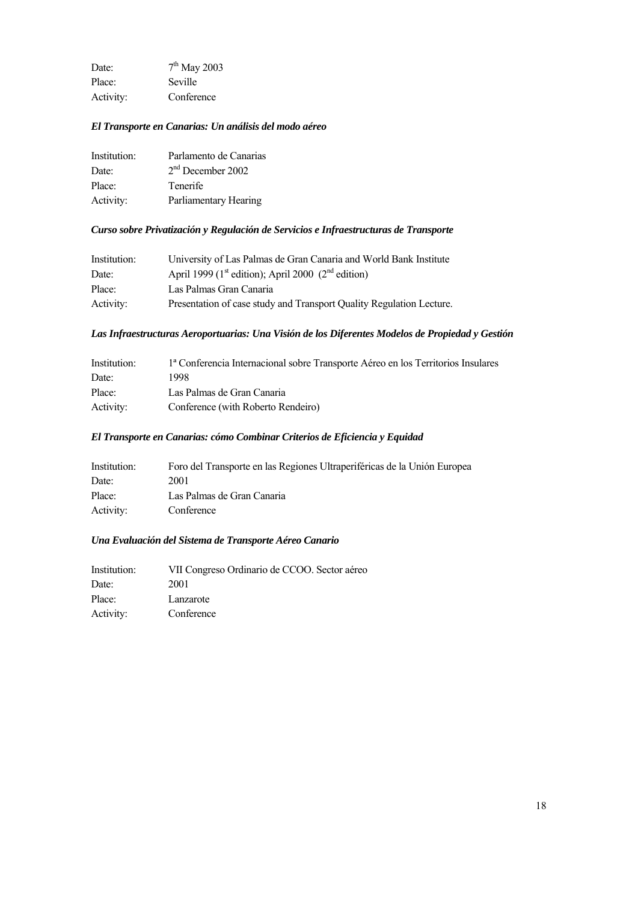Date:  $7<sup>th</sup>$  May 2003 Place: Seville Activity: Conference

#### *El Transporte en Canarias: Un análisis del modo aéreo*

| Institution: | Parlamento de Canarias |
|--------------|------------------------|
| Date:        | $2nd$ December 2002    |
| Place:       | Tenerife               |
| Activity:    | Parliamentary Hearing  |

#### *Curso sobre Privatización y Regulación de Servicios e Infraestructuras de Transporte*

| Institution: | University of Las Palmas de Gran Canaria and World Bank Institute          |  |
|--------------|----------------------------------------------------------------------------|--|
| Date:        | April 1999 (1 <sup>st</sup> edition); April 2000 (2 <sup>nd</sup> edition) |  |
| Place:       | Las Palmas Gran Canaria                                                    |  |
| Activity:    | Presentation of case study and Transport Quality Regulation Lecture.       |  |

#### *Las Infraestructuras Aeroportuarias: Una Visión de los Diferentes Modelos de Propiedad y Gestión*

| Institution: | la Conferencia Internacional sobre Transporte Aéreo en los Territorios Insulares |
|--------------|----------------------------------------------------------------------------------|
| Date:        | 1998.                                                                            |
| Place:       | Las Palmas de Gran Canaria                                                       |
| Activity:    | Conference (with Roberto Rendeiro)                                               |

#### *El Transporte en Canarias: cómo Combinar Criterios de Eficiencia y Equidad*

| Institution: | Foro del Transporte en las Regiones Ultraperiféricas de la Unión Europea |
|--------------|--------------------------------------------------------------------------|
| Date:        | 2001                                                                     |
| Place:       | Las Palmas de Gran Canaria                                               |
| Activity:    | Conference                                                               |

#### *Una Evaluación del Sistema de Transporte Aéreo Canario*

| Institution: | VII Congreso Ordinario de CCOO. Sector aéreo |
|--------------|----------------------------------------------|
| Date:        | 2001                                         |
| Place:       | Lanzarote                                    |
| Activity:    | Conference                                   |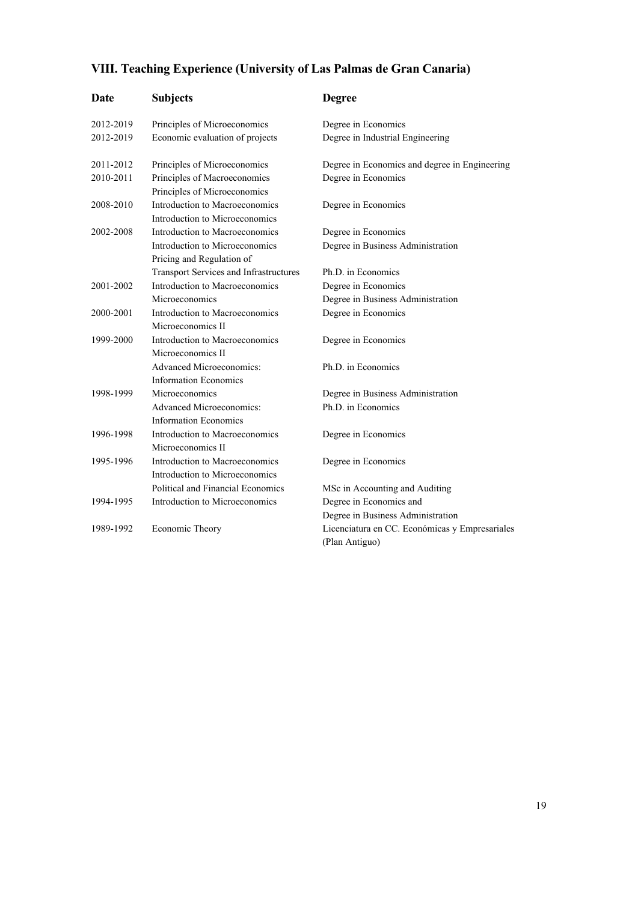# **VIII. Teaching Experience (University of Las Palmas de Gran Canaria)**

| Date      | <b>Subjects</b>                                                  | <b>Degree</b>                                                    |
|-----------|------------------------------------------------------------------|------------------------------------------------------------------|
| 2012-2019 | Principles of Microeconomics                                     | Degree in Economics                                              |
| 2012-2019 | Economic evaluation of projects                                  | Degree in Industrial Engineering                                 |
| 2011-2012 | Principles of Microeconomics                                     | Degree in Economics and degree in Engineering                    |
| 2010-2011 | Principles of Macroeconomics<br>Principles of Microeconomics     | Degree in Economics                                              |
| 2008-2010 | Introduction to Macroeconomics<br>Introduction to Microeconomics | Degree in Economics                                              |
| 2002-2008 | Introduction to Macroeconomics                                   | Degree in Economics                                              |
|           | Introduction to Microeconomics<br>Pricing and Regulation of      | Degree in Business Administration                                |
|           | Transport Services and Infrastructures                           | Ph.D. in Economics                                               |
| 2001-2002 | Introduction to Macroeconomics                                   | Degree in Economics                                              |
|           | Microeconomics                                                   | Degree in Business Administration                                |
| 2000-2001 | Introduction to Macroeconomics                                   | Degree in Economics                                              |
|           | Microeconomics II                                                |                                                                  |
| 1999-2000 | Introduction to Macroeconomics<br>Microeconomics II              | Degree in Economics                                              |
|           | <b>Advanced Microeconomics:</b><br><b>Information Economics</b>  | Ph.D. in Economics                                               |
| 1998-1999 | Microeconomics                                                   | Degree in Business Administration                                |
|           | <b>Advanced Microeconomics:</b><br><b>Information Economics</b>  | Ph.D. in Economics                                               |
| 1996-1998 | Introduction to Macroeconomics<br>Microeconomics II              | Degree in Economics                                              |
| 1995-1996 | Introduction to Macroeconomics<br>Introduction to Microeconomics | Degree in Economics                                              |
|           | Political and Financial Economics                                | MSc in Accounting and Auditing                                   |
| 1994-1995 | Introduction to Microeconomics                                   | Degree in Economics and                                          |
|           |                                                                  | Degree in Business Administration                                |
| 1989-1992 | Economic Theory                                                  | Licenciatura en CC. Económicas y Empresariales<br>(Plan Antiguo) |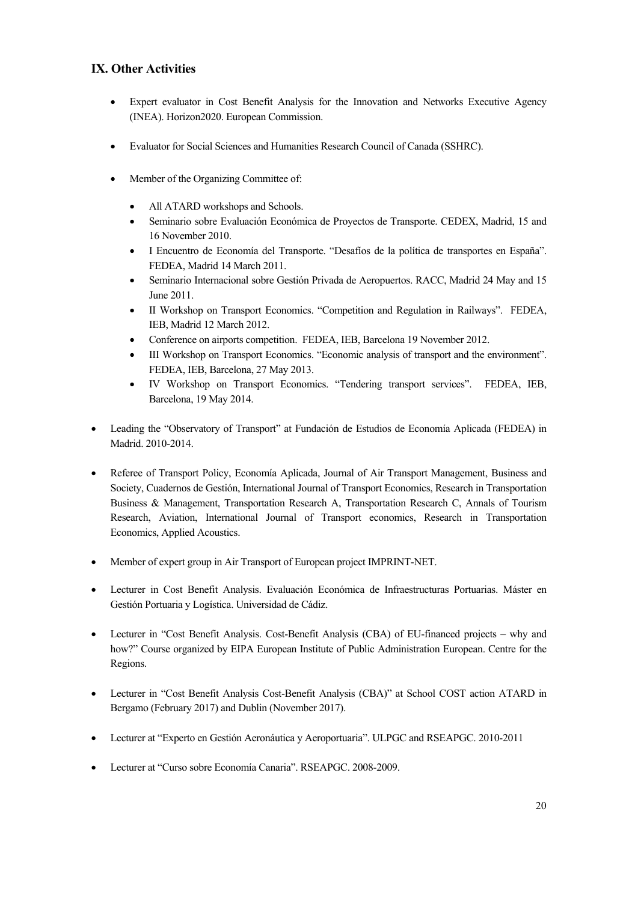## **IX. Other Activities**

- Expert evaluator in Cost Benefit Analysis for the Innovation and Networks Executive Agency (INEA). Horizon2020. European Commission.
- Evaluator for Social Sciences and Humanities Research Council of Canada (SSHRC).
- Member of the Organizing Committee of:
	- All ATARD workshops and Schools.
	- Seminario sobre Evaluación Económica de Proyectos de Transporte. CEDEX, Madrid, 15 and 16 November 2010.
	- I Encuentro de Economía del Transporte. "Desafíos de la política de transportes en España". FEDEA, Madrid 14 March 2011.
	- Seminario Internacional sobre Gestión Privada de Aeropuertos. RACC, Madrid 24 May and 15 June 2011.
	- II Workshop on Transport Economics. "Competition and Regulation in Railways". FEDEA, IEB, Madrid 12 March 2012.
	- Conference on airports competition. FEDEA, IEB, Barcelona 19 November 2012.
	- III Workshop on Transport Economics. "Economic analysis of transport and the environment". FEDEA, IEB, Barcelona, 27 May 2013.
	- IV Workshop on Transport Economics. "Tendering transport services". FEDEA, IEB, Barcelona, 19 May 2014.
- Leading the "Observatory of Transport" at Fundación de Estudios de Economía Aplicada (FEDEA) in Madrid. 2010-2014.
- Referee of Transport Policy, Economía Aplicada, Journal of Air Transport Management, Business and Society, Cuadernos de Gestión, International Journal of Transport Economics, Research in Transportation Business & Management, Transportation Research A, Transportation Research C, Annals of Tourism Research, Aviation, International Journal of Transport economics, Research in Transportation Economics, Applied Acoustics.
- Member of expert group in Air Transport of European project IMPRINT-NET.
- Lecturer in Cost Benefit Analysis. Evaluación Económica de Infraestructuras Portuarias. Máster en Gestión Portuaria y Logística. Universidad de Cádiz.
- Lecturer in "Cost Benefit Analysis. Cost-Benefit Analysis (CBA) of EU-financed projects why and how?" Course organized by EIPA European Institute of Public Administration European. Centre for the Regions.
- Lecturer in "Cost Benefit Analysis Cost-Benefit Analysis (CBA)" at School COST action ATARD in Bergamo (February 2017) and Dublin (November 2017).
- Lecturer at "Experto en Gestión Aeronáutica y Aeroportuaria". ULPGC and RSEAPGC. 2010-2011
- Lecturer at "Curso sobre Economía Canaria". RSEAPGC. 2008-2009.